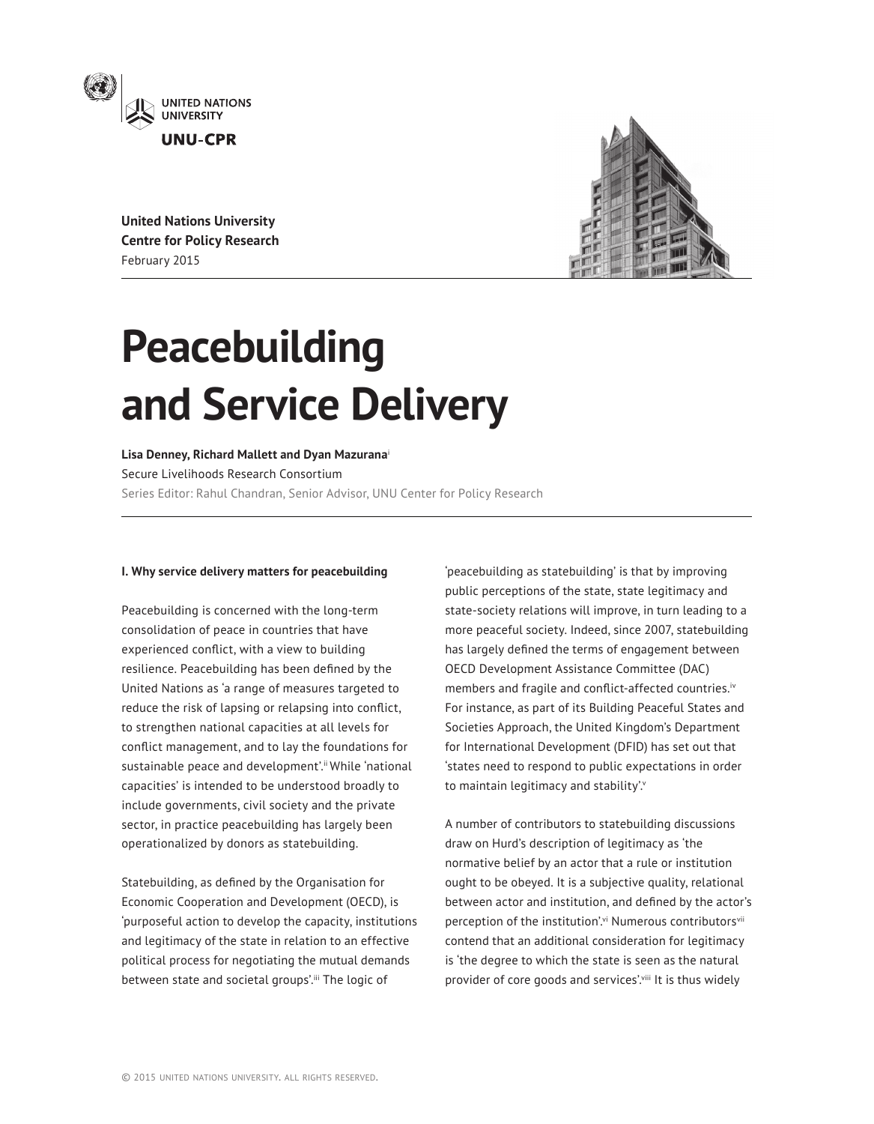

**United Nations University Centre for Policy Research** February 2015



# **Peacebuilding and Service Delivery**

**Lisa Denney, Richard Mallett and Dyan Mazurana**[i](#page-7-0)  Secure Livelihoods Research Consortium Series Editor: Rahul Chandran, Senior Advisor, UNU Center for Policy Research

## **I. Why service delivery matters for peacebuilding**

Peacebuilding is concerned with the long-term consolidation of peace in countries that have experienced conflict, with a view to building resilience. Peacebuilding has been defined by the United Nations as 'a range of measures targeted to reduce the risk of lapsing or relapsing into conflict, to strengthen national capacities at all levels for conflict management, and to lay the foundations for sustainable peace and development'.<sup>ii</sup> While 'national capacities' is intended to be understood broadly to include governments, civil society and the private sector, in practice peacebuilding has largely been operationalized by donors as statebuilding.

Statebuilding, as defined by the Organisation for Economic Cooperation and Development (OECD), is 'purposeful action to develop the capacity, institutions and legitimacy of the state in relation to an effective political process for negotiating the mutual demands between state and societal groups'.[iii](#page-7-2) The logic of

'peacebuilding as statebuilding' is that by improving public perceptions of the state, state legitimacy and state-society relations will improve, in turn leading to a more peaceful society. Indeed, since 2007, statebuilding has largely defined the terms of engagement between OECD Development Assistance Committee (DAC) members and fragile and conflict-affected countries.[iv](#page-7-3) For instance, as part of its Building Peaceful States and Societies Approach, the United Kingdom's Department for International Development (DFID) has set out that 'states need to respond to public expectations in order to maintain legitimacy and stability'.

A number of contributors to statebuilding discussions draw on Hurd's description of legitimacy as 'the normative belief by an actor that a rule or institution ought to be obeyed. It is a subjective quality, relational between actor and institution, and defined by the actor's perception of the institution'.<sup>vi</sup> Numerous contributors<sup>[vii](#page-7-6)</sup> contend that an additional consideration for legitimacy is 'the degree to which the state is seen as the natural provider of core goods and services'.<sup>viii</sup> It is thus widely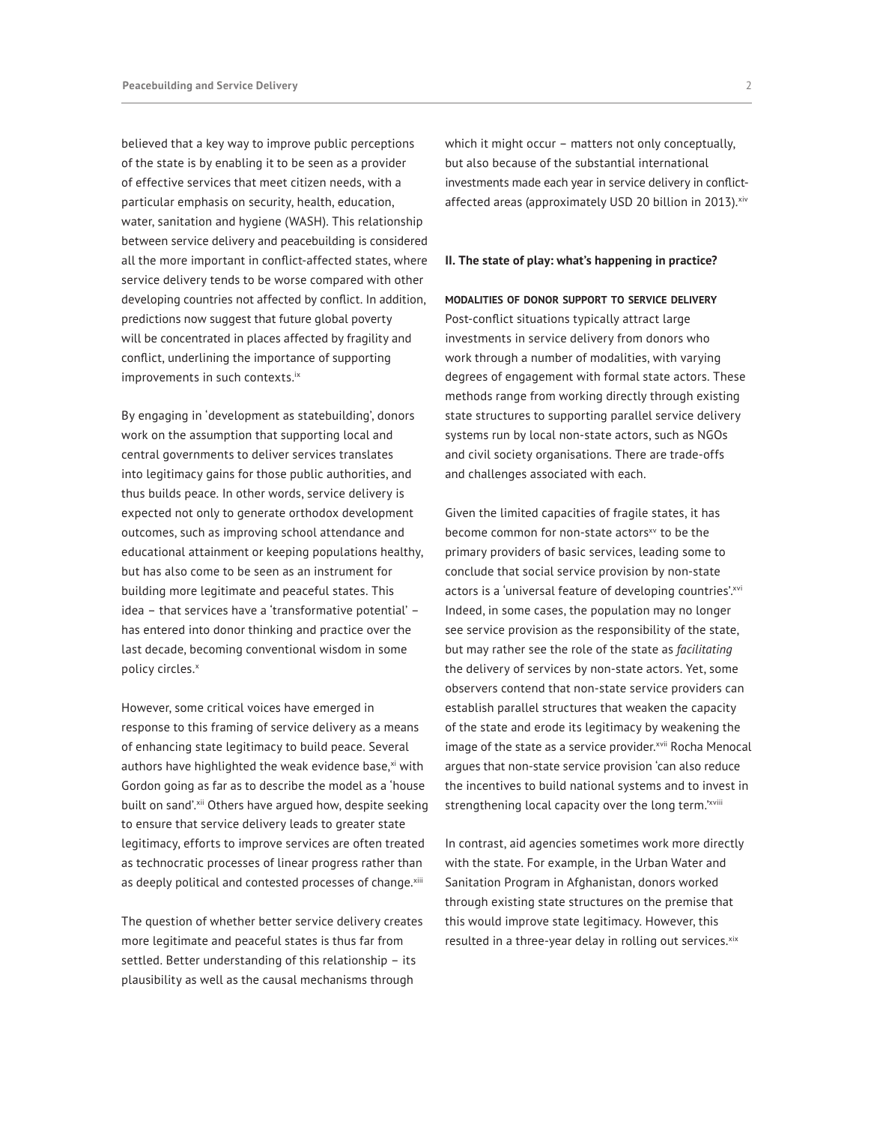believed that a key way to improve public perceptions of the state is by enabling it to be seen as a provider of effective services that meet citizen needs, with a particular emphasis on security, health, education, water, sanitation and hygiene (WASH). This relationship between service delivery and peacebuilding is considered all the more important in conflict-affected states, where service delivery tends to be worse compared with other developing countries not affected by conflict. In addition, predictions now suggest that future global poverty will be concentrated in places affected by fragility and conflict, underlining the importance of supporting improvements in such contexts.<sup>ix</sup>

By engaging in 'development as statebuilding', donors work on the assumption that supporting local and central governments to deliver services translates into legitimacy gains for those public authorities, and thus builds peace. In other words, service delivery is expected not only to generate orthodox development outcomes, such as improving school attendance and educational attainment or keeping populations healthy, but has also come to be seen as an instrument for building more legitimate and peaceful states. This idea – that services have a 'transformative potential' – has entered into donor thinking and practice over the last decade, becoming conventional wisdom in some policy circles.<sup>[x](#page-7-9)</sup>

However, some critical voices have emerged in response to this framing of service delivery as a means of enhancing state legitimacy to build peace. Several authors have highlighted the weak evidence base, $x_i$  with Gordon going as far as to describe the model as a 'house built on sand'.<sup>[xii](#page-7-11)</sup> Others have argued how, despite seeking to ensure that service delivery leads to greater state legitimacy, efforts to improve services are often treated as technocratic processes of linear progress rather than as deeply political and contested processes of change.[xiii](#page-7-12)

The question of whether better service delivery creates more legitimate and peaceful states is thus far from settled. Better understanding of this relationship – its plausibility as well as the causal mechanisms through

which it might occur – matters not only conceptually, but also because of the substantial international investments made each year in service delivery in conflictaffected areas (approximately USD 20 billion in 2013).<sup>[xiv](#page-8-0)</sup>

#### **II. The state of play: what's happening in practice?**

## **modalities of donor support to service delivery**

Post-conflict situations typically attract large investments in service delivery from donors who work through a number of modalities, with varying degrees of engagement with formal state actors. These methods range from working directly through existing state structures to supporting parallel service delivery systems run by local non-state actors, such as NGOs and civil society organisations. There are trade-offs and challenges associated with each.

Given the limited capacities of fragile states, it has become common for non-state actors<sup>xv</sup> to be the primary providers of basic services, leading some to conclude that social service provision by non-state actors is a 'universal feature of developing countries'.xvi Indeed, in some cases, the population may no longer see service provision as the responsibility of the state, but may rather see the role of the state as *facilitating* the delivery of services by non-state actors. Yet, some observers contend that non-state service providers can establish parallel structures that weaken the capacity of the state and erode its legitimacy by weakening the image of the state as a service provider.<sup>xvii</sup> Rocha Menocal argues that non-state service provision 'can also reduce the incentives to build national systems and to invest in strengthening local capacity over the long term.'[xviii](#page-8-4)

In contrast, aid agencies sometimes work more directly with the state. For example, in the Urban Water and Sanitation Program in Afghanistan, donors worked through existing state structures on the premise that this would improve state legitimacy. However, this resulted in a three-year delay in rolling out services. [xix](#page-8-5)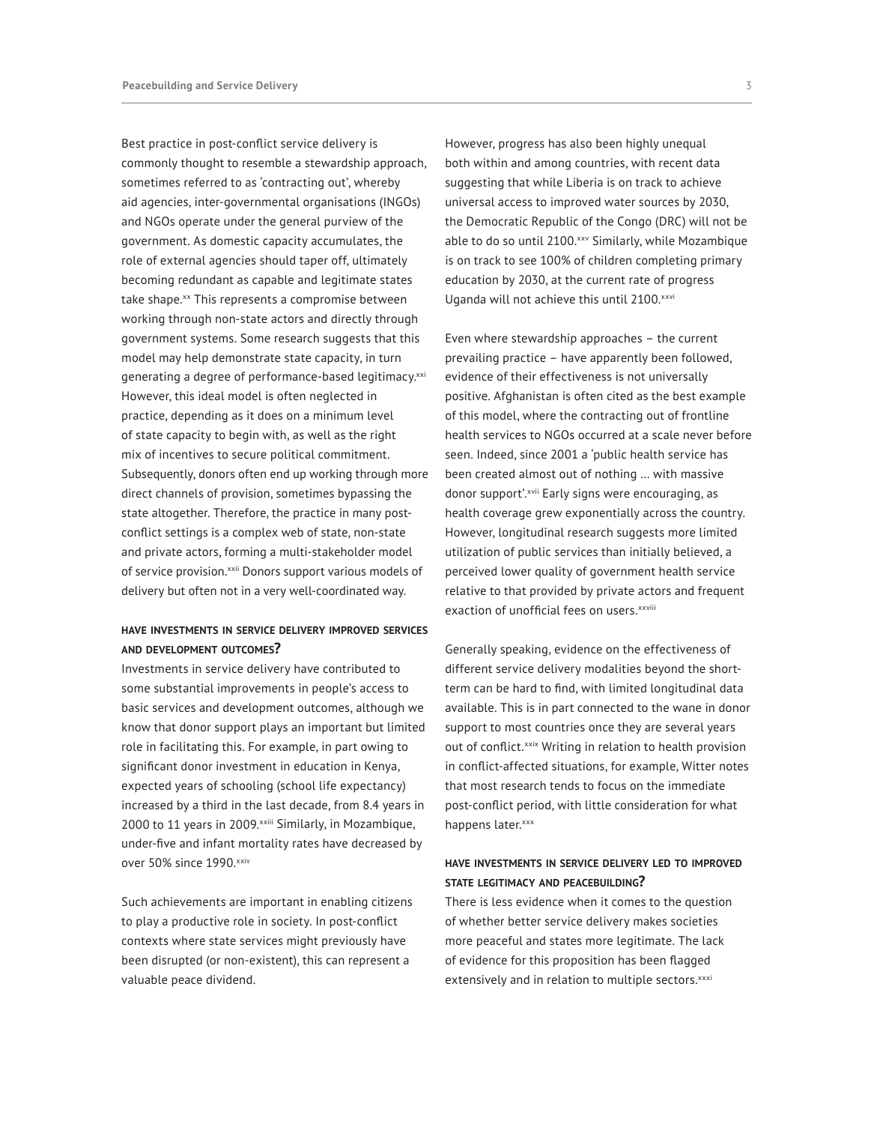Best practice in post-conflict service delivery is commonly thought to resemble a stewardship approach, sometimes referred to as 'contracting out', whereby aid agencies, inter-governmental organisations (INGOs) and NGOs operate under the general purview of the government. As domestic capacity accumulates, the role of external agencies should taper off, ultimately becoming redundant as capable and legitimate states take shape.<sup>[xx](#page-8-6)</sup> This represents a compromise between working through non-state actors and directly through government systems. Some research suggests that this model may help demonstrate state capacity, in turn generating a degree of performance-based legitimacy.<sup>xxi</sup> However, this ideal model is often neglected in practice, depending as it does on a minimum level of state capacity to begin with, as well as the right mix of incentives to secure political commitment. Subsequently, donors often end up working through more direct channels of provision, sometimes bypassing the state altogether. Therefore, the practice in many postconflict settings is a complex web of state, non-state and private actors, forming a multi-stakeholder model of service provision.<sup>[xxii](#page-8-8)</sup> Donors support various models of delivery but often not in a very well-coordinated way.

# **have investments in service delivery improved services and development outcomes?**

Investments in service delivery have contributed to some substantial improvements in people's access to basic services and development outcomes, although we know that donor support plays an important but limited role in facilitating this. For example, in part owing to significant donor investment in education in Kenya, expected years of schooling (school life expectancy) increased by a third in the last decade, from 8.4 years in 2000 to 11 years in 2009. [xxiii](#page-8-9) Similarly, in Mozambique, under-five and infant mortality rates have decreased by over 50% since 1990.[xxiv](#page-8-10)

Such achievements are important in enabling citizens to play a productive role in society. In post-conflict contexts where state services might previously have been disrupted (or non-existent), this can represent a valuable peace dividend.

However, progress has also been highly unequal both within and among countries, with recent data suggesting that while Liberia is on track to achieve universal access to improved water sources by 2030, the Democratic Republic of the Congo (DRC) will not be able to do so until 2100.xxy Similarly, while Mozambique is on track to see 100% of children completing primary education by 2030, at the current rate of progress Uganda will not achieve this until 2100.[xxvi](#page-8-12)

Even where stewardship approaches – the current prevailing practice – have apparently been followed, evidence of their effectiveness is not universally positive. Afghanistan is often cited as the best example of this model, where the contracting out of frontline health services to NGOs occurred at a scale never before seen. Indeed, since 2001 a 'public health service has been created almost out of nothing … with massive donor support'.[xvii](#page-8-3) Early signs were encouraging, as health coverage grew exponentially across the country. However, longitudinal research suggests more limited utilization of public services than initially believed, a perceived lower quality of government health service relative to that provided by private actors and frequent exaction of unofficial fees on users. [xxviii](#page-8-13)

Generally speaking, evidence on the effectiveness of different service delivery modalities beyond the shortterm can be hard to find, with limited longitudinal data available. This is in part connected to the wane in donor support to most countries once they are several years out of conflict.<sup>xxix</sup> Writing in relation to health provision in conflict-affected situations, for example, Witter notes that most research tends to focus on the immediate post-conflict period, with little consideration for what happens later.[xxx](#page-8-15)

# **have investments in service delivery led to improved state legitimacy and peacebuilding?**

There is less evidence when it comes to the question of whether better service delivery makes societies more peaceful and states more legitimate. The lack of evidence for this proposition has been flagged extensively and in relation to multiple sectors.[xxxi](#page-8-16)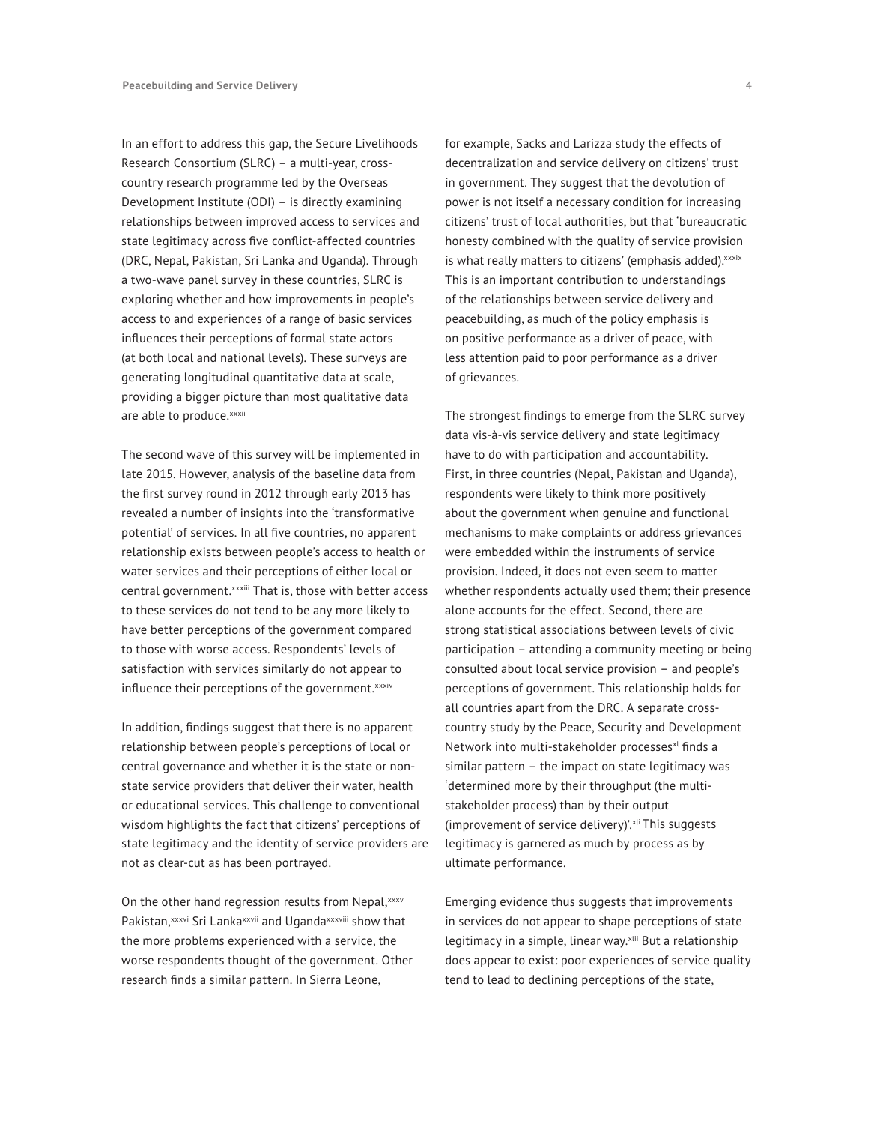In an effort to address this gap, the Secure Livelihoods Research Consortium (SLRC) – a multi-year, crosscountry research programme led by the Overseas Development Institute (ODI) – is directly examining relationships between improved access to services and state legitimacy across five conflict-affected countries (DRC, Nepal, Pakistan, Sri Lanka and Uganda). Through a two-wave panel survey in these countries, SLRC is exploring whether and how improvements in people's access to and experiences of a range of basic services influences their perceptions of formal state actors (at both local and national levels). These surveys are generating longitudinal quantitative data at scale, providing a bigger picture than most qualitative data are able to produce. xxxii

The second wave of this survey will be implemented in late 2015. However, analysis of the baseline data from the first survey round in 2012 through early 2013 has revealed a number of insights into the 'transformative potential' of services. In all five countries, no apparent relationship exists between people's access to health or water services and their perceptions of either local or central government.<sup>[xxxiii](#page-9-1)</sup> That is, those with better access to these services do not tend to be any more likely to have better perceptions of the government compared to those with worse access. Respondents' levels of satisfaction with services similarly do not appear to influence their perceptions of the government.[xxxiv](#page-9-2)

In addition, findings suggest that there is no apparent relationship between people's perceptions of local or central governance and whether it is the state or nonstate service providers that deliver their water, health or educational services. This challenge to conventional wisdom highlights the fact that citizens' perceptions of state legitimacy and the identity of service providers are not as clear-cut as has been portrayed.

On the other hand regression results from Nepal, [xxxv](#page-9-3) Pakistan, [xxxvi](#page-9-4) Sri Lanka[xxvii](#page-8-17) and Ugand[axxxviii](#page-9-5) show that the more problems experienced with a service, the worse respondents thought of the government. Other research finds a similar pattern. In Sierra Leone,

for example, Sacks and Larizza study the effects of decentralization and service delivery on citizens' trust in government. They suggest that the devolution of power is not itself a necessary condition for increasing citizens' trust of local authorities, but that 'bureaucratic honesty combined with the quality of service provision is what really matters to citizens' (emphasis added). [xxxix](#page-9-6) This is an important contribution to understandings of the relationships between service delivery and peacebuilding, as much of the policy emphasis is on positive performance as a driver of peace, with less attention paid to poor performance as a driver of grievances.

The strongest findings to emerge from the SLRC survey data vis-à-vis service delivery and state legitimacy have to do with participation and accountability. First, in three countries (Nepal, Pakistan and Uganda), respondents were likely to think more positively about the government when genuine and functional mechanisms to make complaints or address grievances were embedded within the instruments of service provision. Indeed, it does not even seem to matter whether respondents actually used them; their presence alone accounts for the effect. Second, there are strong statistical associations between levels of civic participation – attending a community meeting or being consulted about local service provision – and people's perceptions of government. This relationship holds for all countries apart from the DRC. A separate crosscountry study by the Peace, Security and Development Network into multi-stakeholder processes<sup>[xl](#page-9-7)</sup> finds a similar pattern – the impact on state legitimacy was 'determined more by their throughput (the multistakeholder process) than by their output (improvement of service delivery)'.[xli](#page-9-8) This suggests legitimacy is garnered as much by process as by ultimate performance.

Emerging evidence thus suggests that improvements in services do not appear to shape perceptions of state legitimacy in a simple, linear way.<sup>[xlii](#page-9-9)</sup> But a relationship does appear to exist: poor experiences of service quality tend to lead to declining perceptions of the state,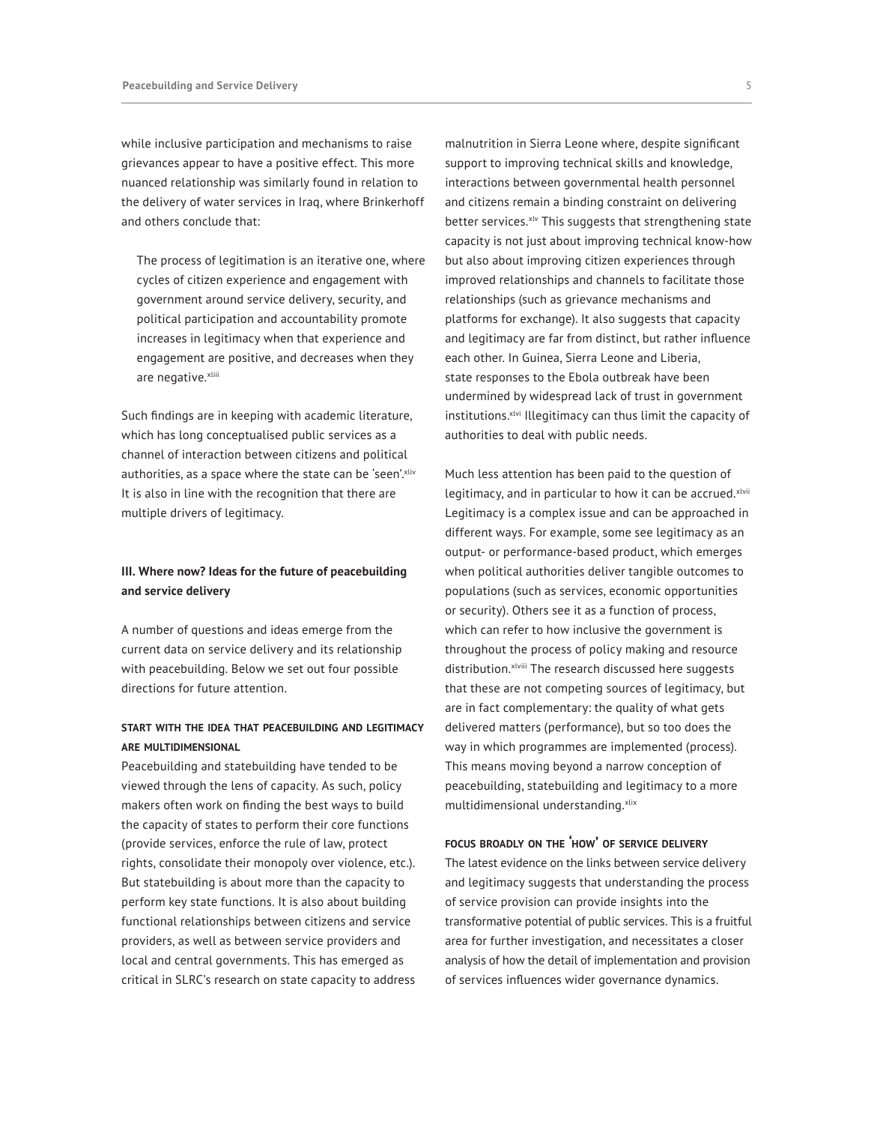while inclusive participation and mechanisms to raise grievances appear to have a positive effect. This more nuanced relationship was similarly found in relation to the delivery of water services in Iraq, where Brinkerhoff and others conclude that:

The process of legitimation is an iterative one, where cycles of citizen experience and engagement with government around service delivery, security, and political participation and accountability promote increases in legitimacy when that experience and engagement are positive, and decreases when they are negative.[xliii](#page-9-10)

Such findings are in keeping with academic literature, which has long conceptualised public services as a channel of interaction between citizens and political authorities, as a space where the state can be 'seen'. [xliv](#page-9-11) It is also in line with the recognition that there are multiple drivers of legitimacy.

# **III. Where now? Ideas for the future of peacebuilding and service delivery**

A number of questions and ideas emerge from the current data on service delivery and its relationship with peacebuilding. Below we set out four possible directions for future attention.

# **start with the idea that peacebuilding and legitimacy are multidimensional**

Peacebuilding and statebuilding have tended to be viewed through the lens of capacity. As such, policy makers often work on finding the best ways to build the capacity of states to perform their core functions (provide services, enforce the rule of law, protect rights, consolidate their monopoly over violence, etc.). But statebuilding is about more than the capacity to perform key state functions. It is also about building functional relationships between citizens and service providers, as well as between service providers and local and central governments. This has emerged as critical in SLRC's research on state capacity to address malnutrition in Sierra Leone where, despite significant support to improving technical skills and knowledge, interactions between governmental health personnel and citizens remain a binding constraint on delivering better services.<sup>xlv</sup> This suggests that strengthening state capacity is not just about improving technical know-how but also about improving citizen experiences through improved relationships and channels to facilitate those relationships (such as grievance mechanisms and platforms for exchange). It also suggests that capacity and legitimacy are far from distinct, but rather influence each other. In Guinea, Sierra Leone and Liberia, state responses to the Ebola outbreak have been undermined by widespread lack of trust in government institutions.<sup>[xlvi](#page-9-13)</sup> Illegitimacy can thus limit the capacity of authorities to deal with public needs.

Much less attention has been paid to the question of legitimacy, and in particular to how it can be accrued. [xlvii](#page-9-14) Legitimacy is a complex issue and can be approached in different ways. For example, some see legitimacy as an output- or performance-based product, which emerges when political authorities deliver tangible outcomes to populations (such as services, economic opportunities or security). Others see it as a function of process, which can refer to how inclusive the government is throughout the process of policy making and resource distribution. xlviii The research discussed here suggests that these are not competing sources of legitimacy, but are in fact complementary: the quality of what gets delivered matters (performance), but so too does the way in which programmes are implemented (process). This means moving beyond a narrow conception of peacebuilding, statebuilding and legitimacy to a more multidimensional understanding. [xlix](#page-10-0)

## **focus broadly on the 'how' of service delivery**

The latest evidence on the links between service delivery and legitimacy suggests that understanding the process of service provision can provide insights into the transformative potential of public services. This is a fruitful area for further investigation, and necessitates a closer analysis of how the detail of implementation and provision of services influences wider governance dynamics.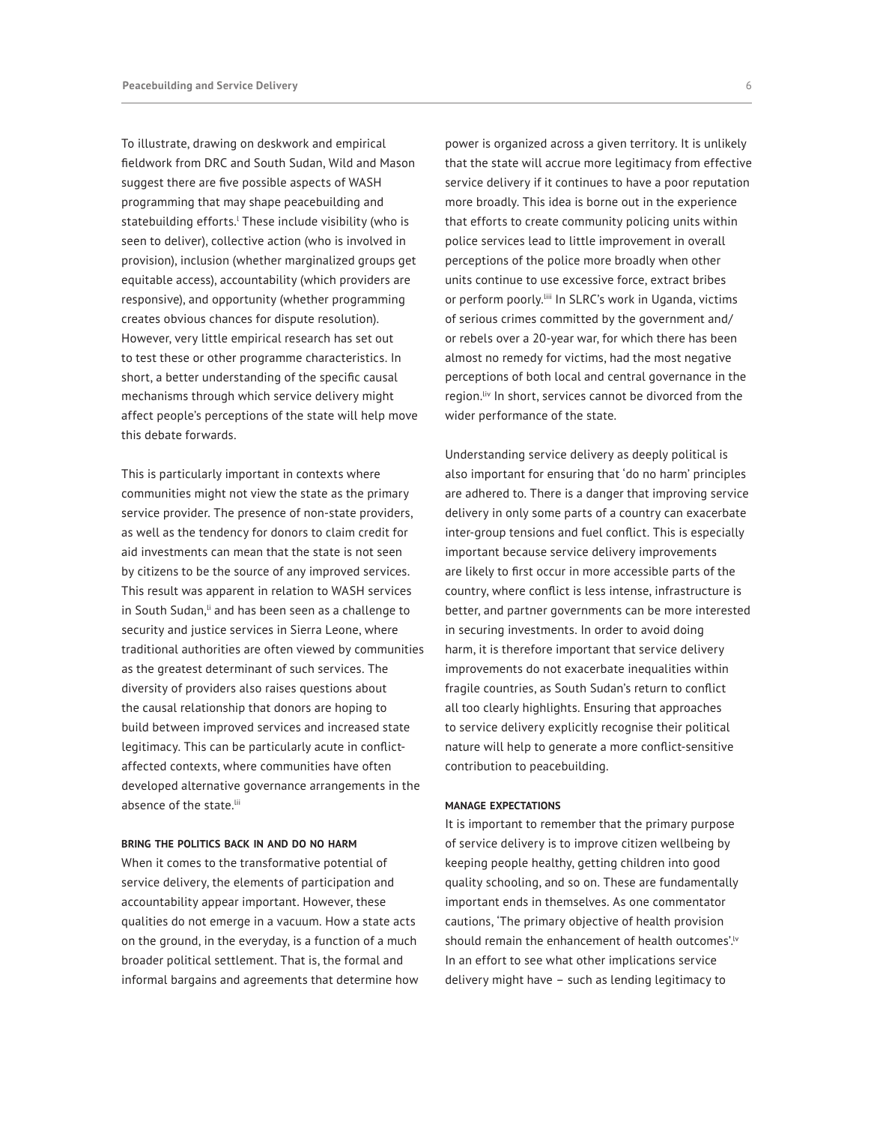To illustrate, drawing on deskwork and empirical fieldwork from DRC and South Sudan, Wild and Mason suggest there are five possible aspects of WASH programming that may shape peacebuilding and statebui[l](#page-10-1)ding efforts.' These include visibility (who is seen to deliver), collective action (who is involved in provision), inclusion (whether marginalized groups get equitable access), accountability (which providers are responsive), and opportunity (whether programming creates obvious chances for dispute resolution). However, very little empirical research has set out to test these or other programme characteristics. In short, a better understanding of the specific causal mechanisms through which service delivery might affect people's perceptions of the state will help move this debate forwards.

This is particularly important in contexts where communities might not view the state as the primary service provider. The presence of non-state providers, as well as the tendency for donors to claim credit for aid investments can mean that the state is not seen by citizens to be the source of any improved services. This result was apparent in relation to WASH services in South Sudan, [li](#page-10-2) and has been seen as a challenge to security and justice services in Sierra Leone, where traditional authorities are often viewed by communities as the greatest determinant of such services. The diversity of providers also raises questions about the causal relationship that donors are hoping to build between improved services and increased state legitimacy. This can be particularly acute in conflictaffected contexts, where communities have often developed alternative governance arrangements in the absence of the state.<sup>[lii](#page-10-3)</sup>

#### **bring the politics back in and do no harm**

When it comes to the transformative potential of service delivery, the elements of participation and accountability appear important. However, these qualities do not emerge in a vacuum. How a state acts on the ground, in the everyday, is a function of a much broader political settlement. That is, the formal and informal bargains and agreements that determine how power is organized across a given territory. It is unlikely that the state will accrue more legitimacy from effective service delivery if it continues to have a poor reputation more broadly. This idea is borne out in the experience that efforts to create community policing units within police services lead to little improvement in overall perceptions of the police more broadly when other units continue to use excessive force, extract bribes or perform poorly.<sup>[iii</sup> In SLRC's work in Uganda, victims of serious crimes committed by the government and/ or rebels over a 20-year war, for which there has been almost no remedy for victims, had the most negative perceptions of both local and central governance in the region.<sup>[liv](#page-10-5)</sup> In short, services cannot be divorced from the wider performance of the state.

Understanding service delivery as deeply political is also important for ensuring that 'do no harm' principles are adhered to. There is a danger that improving service delivery in only some parts of a country can exacerbate inter-group tensions and fuel conflict. This is especially important because service delivery improvements are likely to first occur in more accessible parts of the country, where conflict is less intense, infrastructure is better, and partner governments can be more interested in securing investments. In order to avoid doing harm, it is therefore important that service delivery improvements do not exacerbate inequalities within fragile countries, as South Sudan's return to conflict all too clearly highlights. Ensuring that approaches to service delivery explicitly recognise their political nature will help to generate a more conflict-sensitive contribution to peacebuilding.

#### **manage expectations**

It is important to remember that the primary purpose of service delivery is to improve citizen wellbeing by keeping people healthy, getting children into good quality schooling, and so on. These are fundamentally important ends in themselves. As one commentator cautions, 'The primary objective of health provision should remain the enhancement of health outcomes'.<sup>1</sup> In an effort to see what other implications service delivery might have – such as lending legitimacy to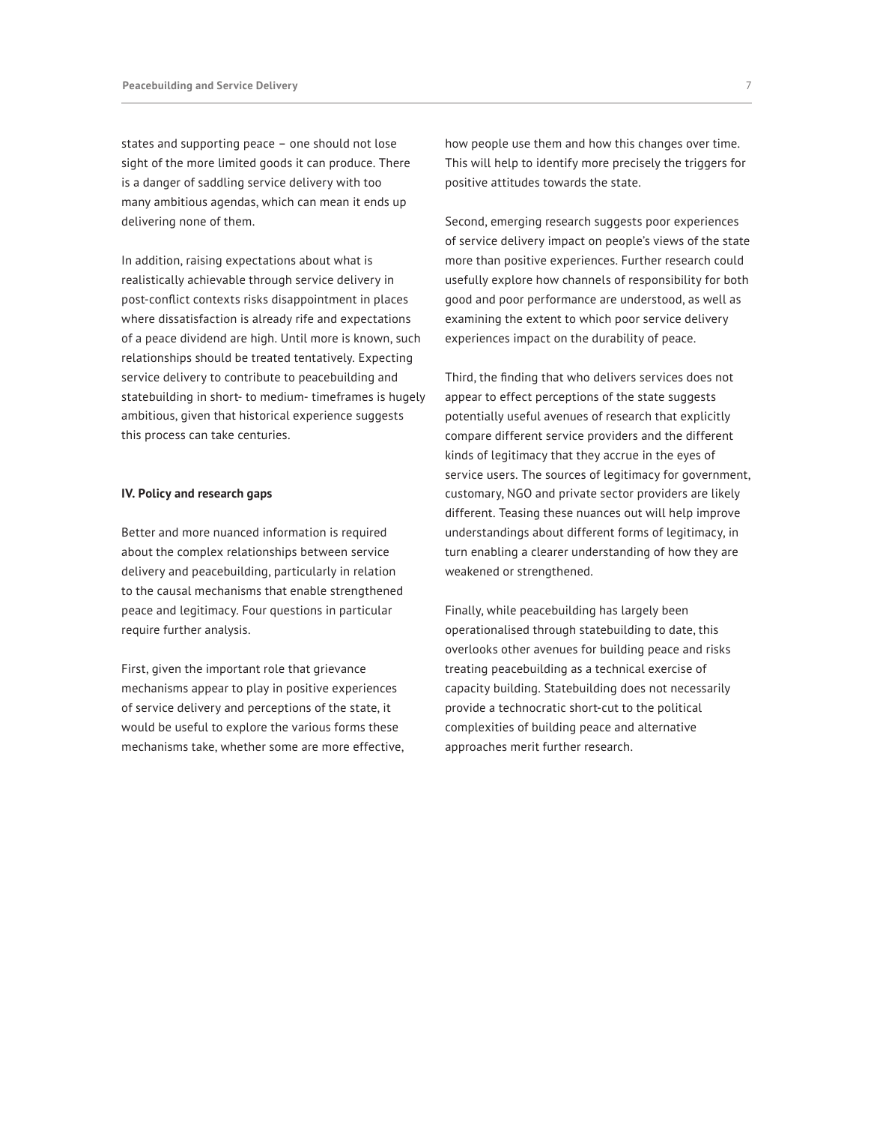states and supporting peace – one should not lose sight of the more limited goods it can produce. There is a danger of saddling service delivery with too many ambitious agendas, which can mean it ends up delivering none of them.

In addition, raising expectations about what is realistically achievable through service delivery in post-conflict contexts risks disappointment in places where dissatisfaction is already rife and expectations of a peace dividend are high. Until more is known, such relationships should be treated tentatively. Expecting service delivery to contribute to peacebuilding and statebuilding in short- to medium- timeframes is hugely ambitious, given that historical experience suggests this process can take centuries.

## **IV. Policy and research gaps**

Better and more nuanced information is required about the complex relationships between service delivery and peacebuilding, particularly in relation to the causal mechanisms that enable strengthened peace and legitimacy. Four questions in particular require further analysis.

First, given the important role that grievance mechanisms appear to play in positive experiences of service delivery and perceptions of the state, it would be useful to explore the various forms these mechanisms take, whether some are more effective, how people use them and how this changes over time. This will help to identify more precisely the triggers for positive attitudes towards the state.

Second, emerging research suggests poor experiences of service delivery impact on people's views of the state more than positive experiences. Further research could usefully explore how channels of responsibility for both good and poor performance are understood, as well as examining the extent to which poor service delivery experiences impact on the durability of peace.

Third, the finding that who delivers services does not appear to effect perceptions of the state suggests potentially useful avenues of research that explicitly compare different service providers and the different kinds of legitimacy that they accrue in the eyes of service users. The sources of legitimacy for government, customary, NGO and private sector providers are likely different. Teasing these nuances out will help improve understandings about different forms of legitimacy, in turn enabling a clearer understanding of how they are weakened or strengthened.

Finally, while peacebuilding has largely been operationalised through statebuilding to date, this overlooks other avenues for building peace and risks treating peacebuilding as a technical exercise of capacity building. Statebuilding does not necessarily provide a technocratic short-cut to the political complexities of building peace and alternative approaches merit further research.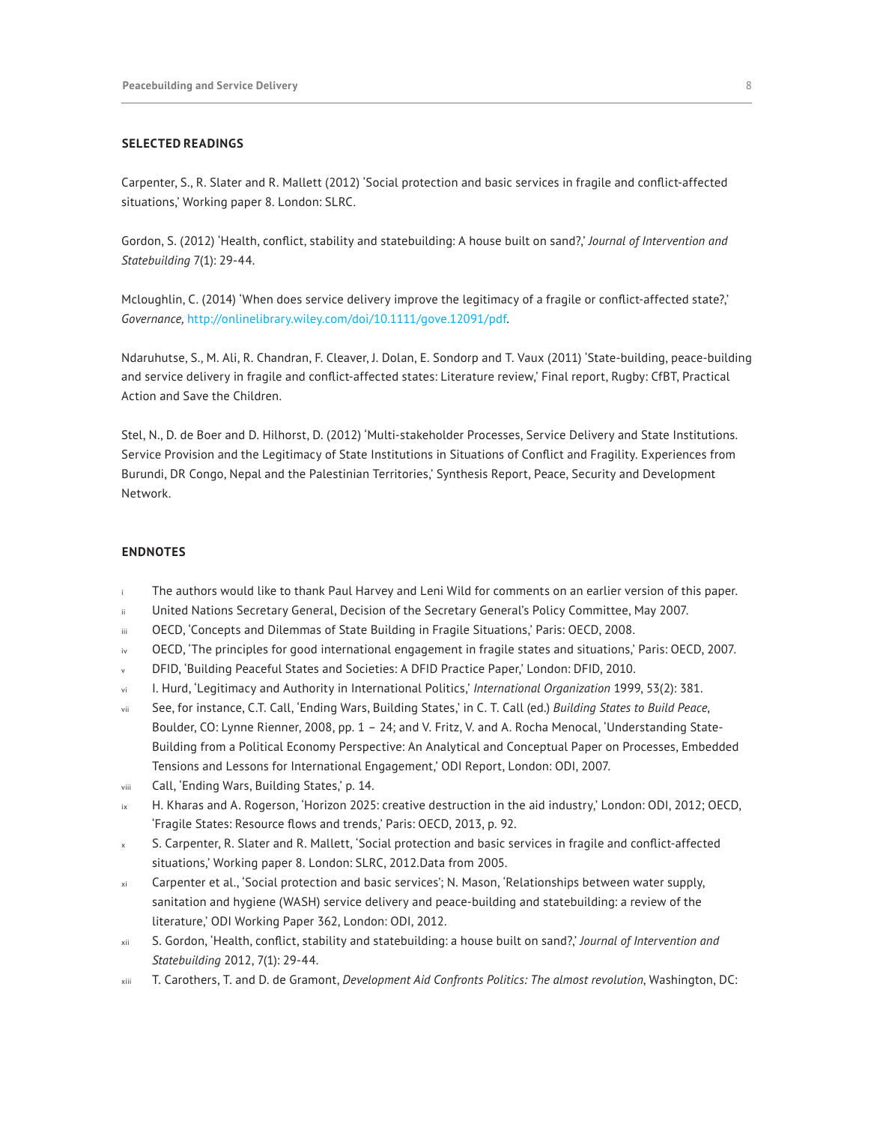## **SELECTED READINGS**

Carpenter, S., R. Slater and R. Mallett (2012) 'Social protection and basic services in fragile and conflict-affected situations,' Working paper 8. London: SLRC.

Gordon, S. (2012) 'Health, conflict, stability and statebuilding: A house built on sand?,' *Journal of Intervention and Statebuilding* 7(1): 29-44.

Mcloughlin, C. (2014) 'When does service delivery improve the legitimacy of a fragile or conflict-affected state?,' *Governance,* [http://onlinelibrary.wiley.com/doi/10.1111/gove.12091/pdf.](http://onlinelibrary.wiley.com/doi/10.1111/gove.12091/pdf)

Ndaruhutse, S., M. Ali, R. Chandran, F. Cleaver, J. Dolan, E. Sondorp and T. Vaux (2011) 'State-building, peace-building and service delivery in fragile and conflict-affected states: Literature review,' Final report, Rugby: CfBT, Practical Action and Save the Children.

Stel, N., D. de Boer and D. Hilhorst, D. (2012) 'Multi-stakeholder Processes, Service Delivery and State Institutions. Service Provision and the Legitimacy of State Institutions in Situations of Conflict and Fragility. Experiences from Burundi, DR Congo, Nepal and the Palestinian Territories,' Synthesis Report, Peace, Security and Development Network.

#### **ENDNOTES**

- <span id="page-7-0"></span>The authors would like to thank Paul Harvey and Leni Wild for comments on an earlier version of this paper.
- <span id="page-7-1"></span>United Nations Secretary General, Decision of the Secretary General's Policy Committee, May 2007.
- <span id="page-7-2"></span>iii OECD, 'Concepts and Dilemmas of State Building in Fragile Situations,' Paris: OECD, 2008.
- <span id="page-7-3"></span>OECD, 'The principles for good international engagement in fragile states and situations,' Paris: OECD, 2007.
- <span id="page-7-4"></span>DFID, 'Building Peaceful States and Societies: A DFID Practice Paper,' London: DFID, 2010.
- <span id="page-7-5"></span>vi I. Hurd, 'Legitimacy and Authority in International Politics,' *International Organization* 1999, 53(2): 381.
- <span id="page-7-6"></span>vii See, for instance, C.T. Call, 'Ending Wars, Building States,' in C. T. Call (ed.) *Building States to Build Peace*, Boulder, CO: Lynne Rienner, 2008, pp. 1 – 24; and V. Fritz, V. and A. Rocha Menocal, 'Understanding State-Building from a Political Economy Perspective: An Analytical and Conceptual Paper on Processes, Embedded Tensions and Lessons for International Engagement,' ODI Report, London: ODI, 2007.
- <span id="page-7-7"></span>viii Call, 'Ending Wars, Building States,' p. 14.
- <span id="page-7-8"></span>ix H. Kharas and A. Rogerson, 'Horizon 2025: creative destruction in the aid industry,' London: ODI, 2012; OECD, 'Fragile States: Resource flows and trends,' Paris: OECD, 2013, p. 92.
- <span id="page-7-9"></span>S. Carpenter, R. Slater and R. Mallett, 'Social protection and basic services in fragile and conflict-affected situations,' Working paper 8. London: SLRC, 2012.Data from 2005.
- <span id="page-7-10"></span>xi Carpenter et al., 'Social protection and basic services'; N. Mason, 'Relationships between water supply, sanitation and hygiene (WASH) service delivery and peace-building and statebuilding: a review of the literature,' ODI Working Paper 362, London: ODI, 2012.
- <span id="page-7-11"></span>xii S. Gordon, 'Health, conflict, stability and statebuilding: a house built on sand?,' *Journal of Intervention and Statebuilding* 2012, 7(1): 29-44.
- <span id="page-7-12"></span>xiii T. Carothers, T. and D. de Gramont, *Development Aid Confronts Politics: The almost revolution*, Washington, DC: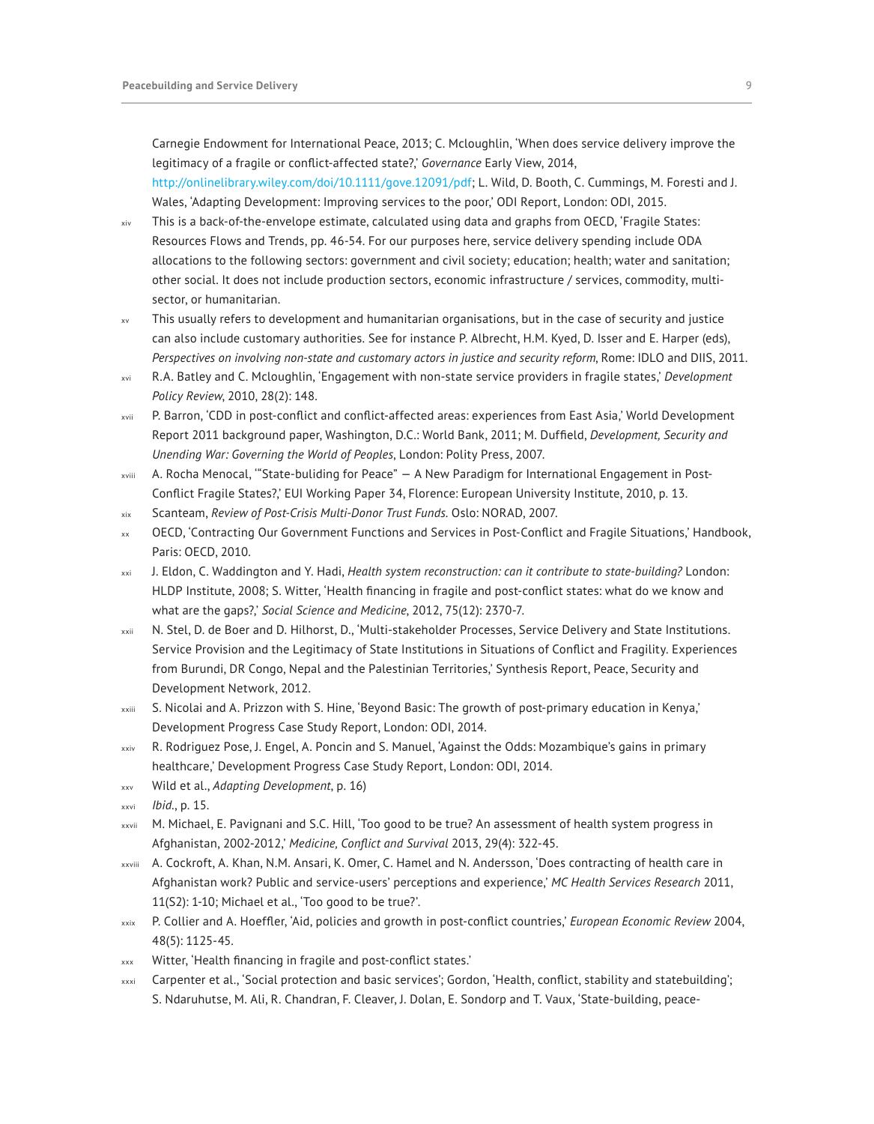Carnegie Endowment for International Peace, 2013; C. Mcloughlin, 'When does service delivery improve the legitimacy of a fragile or conflict-affected state?,' *Governance* Early View, 2014, <http://onlinelibrary.wiley.com/doi/10.1111/gove.12091/pdf>; L. Wild, D. Booth, C. Cummings, M. Foresti and J. Wales, 'Adapting Development: Improving services to the poor,' ODI Report, London: ODI, 2015.

- <span id="page-8-0"></span>xiv This is a back-of-the-envelope estimate, calculated using data and graphs from OECD, 'Fragile States: Resources Flows and Trends, pp. 46-54. For our purposes here, service delivery spending include ODA allocations to the following sectors: government and civil society; education; health; water and sanitation; other social. It does not include production sectors, economic infrastructure / services, commodity, multisector, or humanitarian.
- <span id="page-8-1"></span>xv This usually refers to development and humanitarian organisations, but in the case of security and justice can also include customary authorities. See for instance P. Albrecht, H.M. Kyed, D. Isser and E. Harper (eds), *Perspectives on involving non-state and customary actors in justice and security reform*, Rome: IDLO and DIIS, 2011.
- <span id="page-8-2"></span>xvi R.A. Batley and C. Mcloughlin, 'Engagement with non-state service providers in fragile states,' *Development Policy Review*, 2010, 28(2): 148.
- <span id="page-8-3"></span>xvii P. Barron, 'CDD in post-conflict and conflict-affected areas: experiences from East Asia,' World Development Report 2011 background paper, Washington, D.C.: World Bank, 2011; M. Duffield, *Development, Security and Unending War: Governing the World of Peoples*, London: Polity Press, 2007.
- <span id="page-8-4"></span>xviii A. Rocha Menocal, '"State-buliding for Peace" — A New Paradigm for International Engagement in Post-Conflict Fragile States?,' EUI Working Paper 34, Florence: European University Institute, 2010, p. 13.
- <span id="page-8-5"></span>xix Scanteam, *Review of Post-Crisis Multi-Donor Trust Funds*. Oslo: NORAD, 2007.
- <span id="page-8-6"></span>xx OECD, 'Contracting Our Government Functions and Services in Post-Conflict and Fragile Situations,' Handbook, Paris: OECD, 2010.
- <span id="page-8-7"></span>xxi J. Eldon, C. Waddington and Y. Hadi, *Health system reconstruction: can it contribute to state-building?* London: HLDP Institute, 2008; S. Witter, 'Health financing in fragile and post-conflict states: what do we know and what are the gaps?,' *Social Science and Medicine*, 2012, 75(12): 2370-7.
- <span id="page-8-8"></span>xxii N. Stel, D. de Boer and D. Hilhorst, D., 'Multi-stakeholder Processes, Service Delivery and State Institutions. Service Provision and the Legitimacy of State Institutions in Situations of Conflict and Fragility. Experiences from Burundi, DR Congo, Nepal and the Palestinian Territories,' Synthesis Report, Peace, Security and Development Network, 2012.
- <span id="page-8-9"></span>xxiii S. Nicolai and A. Prizzon with S. Hine, 'Beyond Basic: The growth of post-primary education in Kenya,' Development Progress Case Study Report, London: ODI, 2014.
- <span id="page-8-10"></span>xxiv R. Rodriguez Pose, J. Engel, A. Poncin and S. Manuel, 'Against the Odds: Mozambique's gains in primary healthcare,' Development Progress Case Study Report, London: ODI, 2014.
- <span id="page-8-11"></span>xxv Wild et al., *Adapting Development*, p. 16)
- <span id="page-8-12"></span>xxvi *Ibid*., p. 15.
- <span id="page-8-17"></span>xxvii M. Michael, E. Pavignani and S.C. Hill, 'Too good to be true? An assessment of health system progress in Afghanistan, 2002-2012,' *Medicine, Conflict and Survival* 2013, 29(4): 322-45.
- <span id="page-8-13"></span>xxviii A. Cockroft, A. Khan, N.M. Ansari, K. Omer, C. Hamel and N. Andersson, 'Does contracting of health care in Afghanistan work? Public and service-users' perceptions and experience,' *MC Health Services Research* 2011, 11(S2): 1-10; Michael et al., 'Too good to be true?'.
- <span id="page-8-14"></span>xxix P. Collier and A. Hoeffler, 'Aid, policies and growth in post-conflict countries,' *European Economic Review* 2004, 48(5): 1125-45.
- <span id="page-8-15"></span>xxx Witter, 'Health financing in fragile and post-conflict states.'
- <span id="page-8-16"></span>Carpenter et al., 'Social protection and basic services'; Gordon, 'Health, conflict, stability and statebuilding'; S. Ndaruhutse, M. Ali, R. Chandran, F. Cleaver, J. Dolan, E. Sondorp and T. Vaux, 'State-building, peace-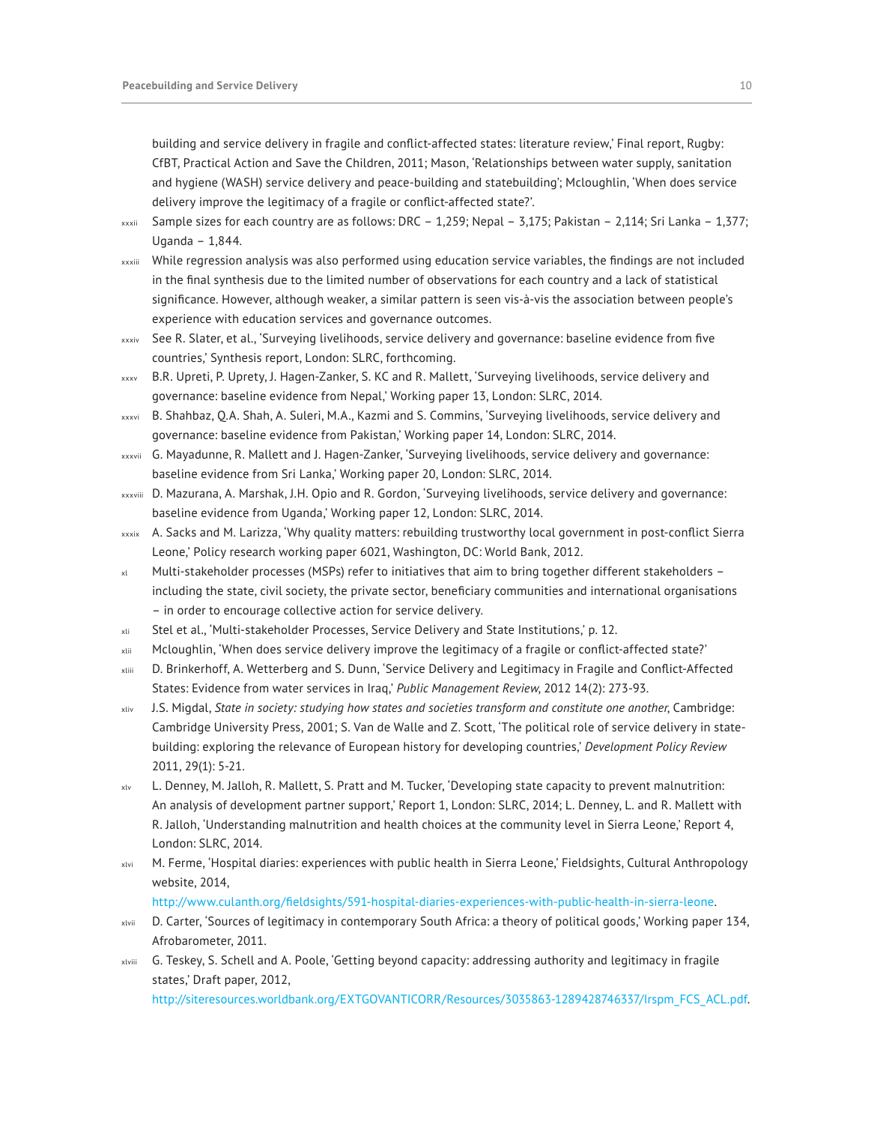building and service delivery in fragile and conflict-affected states: literature review,' Final report, Rugby: CfBT, Practical Action and Save the Children, 2011; Mason, 'Relationships between water supply, sanitation and hygiene (WASH) service delivery and peace-building and statebuilding'; Mcloughlin, 'When does service delivery improve the legitimacy of a fragile or conflict-affected state?'.

- <span id="page-9-0"></span>xxxii Sample sizes for each country are as follows: DRC – 1,259; Nepal – 3,175; Pakistan – 2,114; Sri Lanka – 1,377; Uganda – 1,844.
- <span id="page-9-1"></span>xxxiii While regression analysis was also performed using education service variables, the findings are not included in the final synthesis due to the limited number of observations for each country and a lack of statistical significance. However, although weaker, a similar pattern is seen vis-à-vis the association between people's experience with education services and governance outcomes.
- <span id="page-9-2"></span>xxxiv See R. Slater, et al., 'Surveying livelihoods, service delivery and governance: baseline evidence from five countries,' Synthesis report, London: SLRC, forthcoming.
- <span id="page-9-3"></span>xxxv B.R. Upreti, P. Uprety, J. Hagen-Zanker, S. KC and R. Mallett, 'Surveying livelihoods, service delivery and governance: baseline evidence from Nepal,' Working paper 13, London: SLRC, 2014.
- <span id="page-9-4"></span>xxxvi B. Shahbaz, Q.A. Shah, A. Suleri, M.A., Kazmi and S. Commins, 'Surveying livelihoods, service delivery and governance: baseline evidence from Pakistan,' Working paper 14, London: SLRC, 2014.
- xxxvii G. Mayadunne, R. Mallett and J. Hagen-Zanker, 'Surveying livelihoods, service delivery and governance: baseline evidence from Sri Lanka,' Working paper 20, London: SLRC, 2014.
- <span id="page-9-5"></span>xxxviii D. Mazurana, A. Marshak, J.H. Opio and R. Gordon, 'Surveying livelihoods, service delivery and governance: baseline evidence from Uganda,' Working paper 12, London: SLRC, 2014.
- <span id="page-9-6"></span>xxxix A. Sacks and M. Larizza, 'Why quality matters: rebuilding trustworthy local government in post-conflict Sierra Leone,' Policy research working paper 6021, Washington, DC: World Bank, 2012.
- <span id="page-9-7"></span>xl Multi-stakeholder processes (MSPs) refer to initiatives that aim to bring together different stakeholders – including the state, civil society, the private sector, beneficiary communities and international organisations – in order to encourage collective action for service delivery.
- <span id="page-9-8"></span>xli Stel et al., 'Multi-stakeholder Processes, Service Delivery and State Institutions,' p. 12.
- <span id="page-9-9"></span>xlii Mcloughlin, 'When does service delivery improve the legitimacy of a fragile or conflict-affected state?'
- <span id="page-9-10"></span>xliii D. Brinkerhoff, A. Wetterberg and S. Dunn, 'Service Delivery and Legitimacy in Fragile and Conflict-Affected States: Evidence from water services in Iraq,' *Public Management Review*, 2012 14(2): 273-93.
- <span id="page-9-11"></span>xliv J.S. Migdal, *State in society: studying how states and societies transform and constitute one another*, Cambridge: Cambridge University Press, 2001; S. Van de Walle and Z. Scott, 'The political role of service delivery in statebuilding: exploring the relevance of European history for developing countries,' *Development Policy Review* 2011, 29(1): 5-21.
- <span id="page-9-12"></span>xlv L. Denney, M. Jalloh, R. Mallett, S. Pratt and M. Tucker, 'Developing state capacity to prevent malnutrition: An analysis of development partner support,' Report 1, London: SLRC, 2014; L. Denney, L. and R. Mallett with R. Jalloh, 'Understanding malnutrition and health choices at the community level in Sierra Leone,' Report 4, London: SLRC, 2014.
- xlvi M. Ferme, 'Hospital diaries: experiences with public health in Sierra Leone,' Fieldsights, Cultural Anthropology website, 2014,

<span id="page-9-14"></span><span id="page-9-13"></span><http://www.culanth.org/fieldsights/591-hospital-diaries-experiences-with-public-health-in-sierra-leone>.

- xlvii D. Carter, 'Sources of legitimacy in contemporary South Africa: a theory of political goods,' Working paper 134, Afrobarometer, 2011.
- xlviii G. Teskey, S. Schell and A. Poole, 'Getting beyond capacity: addressing authority and legitimacy in fragile states,' Draft paper, 2012,

<span id="page-9-15"></span>[http://siteresources.worldbank.org/EXTGOVANTICORR/Resources/3035863-1289428746337/Irspm\\_FCS\\_ACL.pdf](http://siteresources.worldbank.org/EXTGOVANTICORR/Resources/3035863-1289428746337/Irspm_FCS_ACL.pdf)[.](http://siteresources.worldbank.org/EXTGOVANTICORR/Resources/3035863-1289428746337/Irspm_FCS_ACL.pdf.)